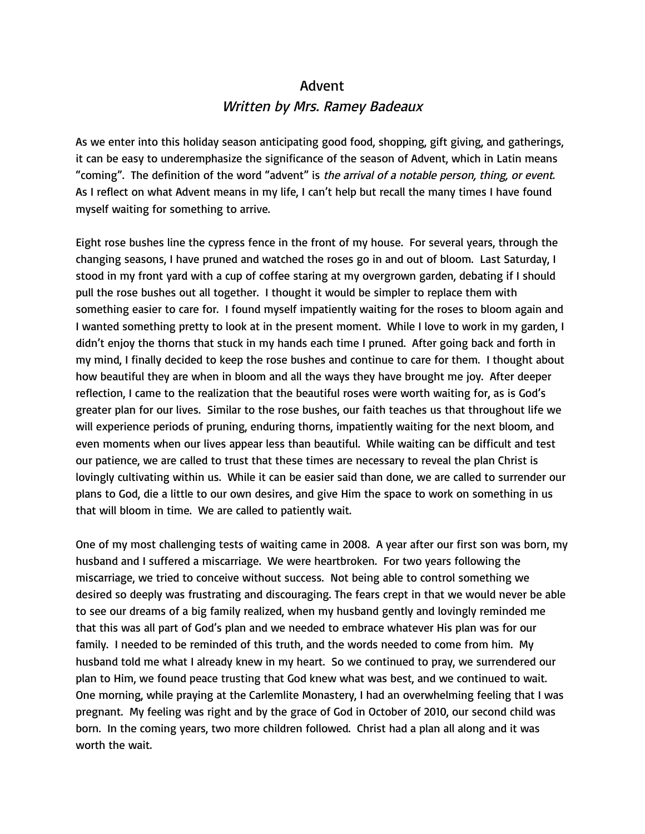## Advent Written by Mrs. Ramey Badeaux

As we enter into this holiday season anticipating good food, shopping, gift giving, and gatherings, it can be easy to underemphasize the significance of the season of Advent, which in Latin means "coming". The definition of the word "advent" is the arrival of a notable person, thing, or event. As I reflect on what Advent means in my life, I can't help but recall the many times I have found myself waiting for something to arrive.

Eight rose bushes line the cypress fence in the front of my house. For several years, through the changing seasons, I have pruned and watched the roses go in and out of bloom. Last Saturday, I stood in my front yard with a cup of coffee staring at my overgrown garden, debating if I should pull the rose bushes out all together. I thought it would be simpler to replace them with something easier to care for. I found myself impatiently waiting for the roses to bloom again and I wanted something pretty to look at in the present moment. While I love to work in my garden, I didn't enjoy the thorns that stuck in my hands each time I pruned. After going back and forth in my mind, I finally decided to keep the rose bushes and continue to care for them. I thought about how beautiful they are when in bloom and all the ways they have brought me joy. After deeper reflection, I came to the realization that the beautiful roses were worth waiting for, as is God's greater plan for our lives. Similar to the rose bushes, our faith teaches us that throughout life we will experience periods of pruning, enduring thorns, impatiently waiting for the next bloom, and even moments when our lives appear less than beautiful. While waiting can be difficult and test our patience, we are called to trust that these times are necessary to reveal the plan Christ is lovingly cultivating within us. While it can be easier said than done, we are called to surrender our plans to God, die a little to our own desires, and give Him the space to work on something in us that will bloom in time. We are called to patiently wait.

One of my most challenging tests of waiting came in 2008. A year after our first son was born, my husband and I suffered a miscarriage. We were heartbroken. For two years following the miscarriage, we tried to conceive without success. Not being able to control something we desired so deeply was frustrating and discouraging. The fears crept in that we would never be able to see our dreams of a big family realized, when my husband gently and lovingly reminded me that this was all part of God's plan and we needed to embrace whatever His plan was for our family. I needed to be reminded of this truth, and the words needed to come from him. My husband told me what I already knew in my heart. So we continued to pray, we surrendered our plan to Him, we found peace trusting that God knew what was best, and we continued to wait. One morning, while praying at the Carlemlite Monastery, I had an overwhelming feeling that I was pregnant. My feeling was right and by the grace of God in October of 2010, our second child was born. In the coming years, two more children followed. Christ had a plan all along and it was worth the wait.